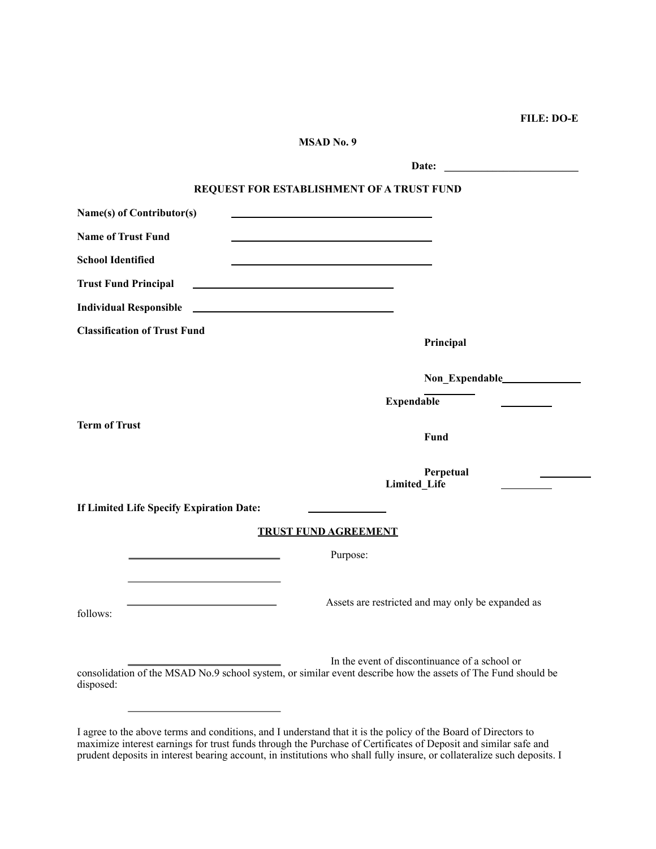## **FILE: DO-E**

| MSAD No. 9                                                                                                                                             |                                                   |
|--------------------------------------------------------------------------------------------------------------------------------------------------------|---------------------------------------------------|
|                                                                                                                                                        | Date:                                             |
| REQUEST FOR ESTABLISHMENT OF A TRUST FUND                                                                                                              |                                                   |
| Name(s) of Contributor(s)                                                                                                                              |                                                   |
| <b>Name of Trust Fund</b><br>the control of the control of the control of the control of the control of the control of                                 |                                                   |
| <b>School Identified</b>                                                                                                                               |                                                   |
| <b>Trust Fund Principal</b><br><u> 1989 - Johann Stein, mars an de Brasilia (b. 1989)</u>                                                              |                                                   |
| <b>Individual Responsible</b><br><u> 1989 - Johann Harry Harry Harry Harry Harry Harry Harry Harry Harry Harry Harry Harry Harry Harry Harry Harry</u> |                                                   |
| <b>Classification of Trust Fund</b>                                                                                                                    | Principal                                         |
|                                                                                                                                                        |                                                   |
|                                                                                                                                                        | <b>Expendable</b>                                 |
| <b>Term of Trust</b>                                                                                                                                   | Fund                                              |
|                                                                                                                                                        | Perpetual<br>Limited_Life                         |
| If Limited Life Specify Expiration Date:                                                                                                               |                                                   |
| <b>TRUST FUND AGREEMENT</b>                                                                                                                            |                                                   |
|                                                                                                                                                        | Purpose:                                          |
| follows:                                                                                                                                               | Assets are restricted and may only be expanded as |
| consolidation of the MSAD No.9 school system, or similar event describe how the assets of The Fund should be<br>disposed:                              | In the event of discontinuance of a school or     |

I agree to the above terms and conditions, and I understand that it is the policy of the Board of Directors to maximize interest earnings for trust funds through the Purchase of Certificates of Deposit and similar safe and prudent deposits in interest bearing account, in institutions who shall fully insure, or collateralize such deposits. I